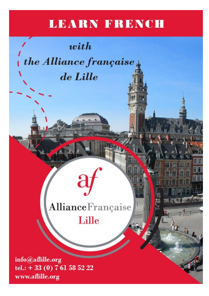# **LEARN FRENCH**

with

the Alliance française de Lille

AllianceFrançaise

Lille

info@aflille.org tel.: +33 (0) 7 61 58 52 22 www.aflille.org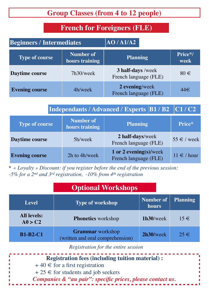### **Group Classes (from 4 to 12 people)**

#### **French for Foreigners (FLE)**

| <b>Beginners / Intermediates</b> |                             | AO/AI/A2                                   |                 |
|----------------------------------|-----------------------------|--------------------------------------------|-----------------|
| <b>Type of course</b>            | Number of<br>hours training | <b>Planning</b>                            | Price*/<br>week |
| Daytime course                   | $7h30$ /week                | 3 half-days /week<br>French language (FLE) | $80 \in$        |
| <b>Evening course</b>            | 4h/week                     | 2 evening/week<br>French language (FLE)    | $44 \in$        |

| Independants / Advanced / Experts  B1 / B2  C1 / C2 |  |  |  |
|-----------------------------------------------------|--|--|--|
|-----------------------------------------------------|--|--|--|

| <b>Type of course</b> | Number of<br>hours training | <b>Planning</b>                                 | Price*          |
|-----------------------|-----------------------------|-------------------------------------------------|-----------------|
| Daytime course        | 5h/week                     | 2 half-days/week<br>French language (FLE)       | $55 \in /$ week |
| <b>Evening course</b> | 2h to 4h/week               | 1 or 2 evening(s)/week<br>French language (FLE) | $11 \in /$ hour |

\* *« Loyalty » Discount: if you register before the end of the previous session: -5% for a 2nd and 3rd registration, -10% from 4th registration*

| <b>Optional Workshops</b> |                                                             |                           |                 |  |
|---------------------------|-------------------------------------------------------------|---------------------------|-----------------|--|
| Level                     | <b>Type of workshop</b>                                     | <b>Number of</b><br>hours | <b>Planning</b> |  |
| All levels:<br>A0 > C2    | <b>Phonetics</b> workshop                                   | $1h30$ /week              | $15 \in$        |  |
| <b>B1-B2-C1</b>           | <b>Grammar</b> workshop<br>(written and oral comprehension) | 2h30/week                 | $25 \in$        |  |

 *Registration for the entire session*

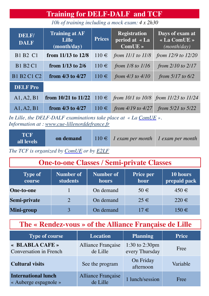#### **Training for DELF-DALF and TCF**

*10h of training including a mock exam: 4 x 2h30*

| DELF/<br><b>DALF</b> | <b>Training at AF</b><br><b>Lille</b><br>(month/day) | <b>Prices</b> | <b>Registration</b><br>period at « La<br>$ComUE*$ | Days of exam at<br>« La ComUE »<br>(month/day) |
|----------------------|------------------------------------------------------|---------------|---------------------------------------------------|------------------------------------------------|
| <b>B1 B2 C1</b>      | from 11/13 to 12/8                                   | $110 \in$     | from $11/1$ to $11/8$                             | from $12/9$ to $12/20$                         |
| <b>B1 B2</b> C1      | from $1/13$ to $2/6$                                 | $110 \in$     | from $1/8$ to $1/16$                              | from $2/10$ to $2/17$                          |
| <b>B1 B2 C1 C2</b>   | from 4/3 to 4/27                                     | $110 \in$     | from $4/3$ to $4/10$                              | from $5/17$ to $6/2$                           |
| <b>DELF</b> Pro      |                                                      |               |                                                   |                                                |
| A1, A2, B1           | from $10/21$ to $11/22$                              | $110 \in$     |                                                   | from $10/1$ to $10/8$ from $11/23$ to $11/24$  |
| A1, A2, B1           | from $4/3$ to $4/27$                                 | $110 \in$     | from $4/19$ to $4/27$                             | from $5/21$ to $5/22$                          |

*In Lille, the DELF-DALF examinations take place at « La [ComUE](http://www.cue-lillenorddefrance.fr/sites/default/files/telechargement/international/calendrierdelf_dalf_2016-17.pdf) ». Information at : [www.cue-lillenorddefrance.fr](http://www.cue-lillenorddefrance.fr)*

| TCF<br>all levels | on demand | $110 \in$ 1 exam per month 1 exam per month |  |
|-------------------|-----------|---------------------------------------------|--|
|                   |           |                                             |  |

*The TCF is organized by [ComUE](http://www.cue-lillenorddefrance.fr/sites/default/files/telechargement/international/calendrierdelf_dalf_2016-17.pdf) or by [E2LF](http://e2lf.fr/)*

| <b>One-to-one Classes / Semi-private Classes</b> |                              |                    |                   |                          |
|--------------------------------------------------|------------------------------|--------------------|-------------------|--------------------------|
| <b>Type of</b><br>course                         | Number of<br><b>students</b> | Number of<br>hours | Price per<br>hour | 10 hours<br>prepaid pack |
| <b>One-to-one</b>                                |                              | On demand          | $50 \in$          | $450 \in$                |
| Semi-private                                     | $\mathcal{D}_{\mathcal{A}}$  | On demand          | $25 \in$          | $220 \in$                |
| Mini-group                                       |                              | On demand          | $17 \in$          | $150 \in$                |

## **The « Rendez-vous » of the Alliance Française de Lille**

| <b>Type of course</b>                               | <b>Location</b>                       | <b>Planning</b>                  | <b>Price</b> |
|-----------------------------------------------------|---------------------------------------|----------------------------------|--------------|
| « BLABLA CAFE »<br>Conversation in French           | Alliance Française<br>de Lille        | 1:30 to 2:30pm<br>every Thursday | Free         |
| <b>Cultural visits</b>                              | See the program                       | On Friday<br>afternoon           | Variable     |
| <b>International lunch</b><br>« Auberge espagnole » | <b>Alliance Française</b><br>de Lille | 1 lunch/session                  | Free         |